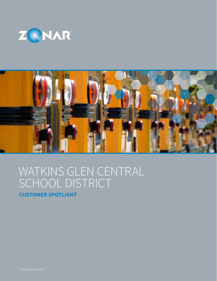



# WATKINS GLEN CENTRAL SCHOOL DISTRICT

**CUSTOMER SPOTLIGHT**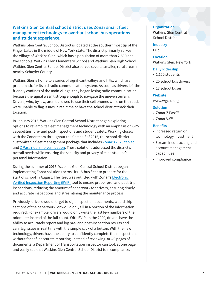# **Watkins Glen Central school district uses Zonar smart fleet management technology to overhaul school bus operations and student experience.**

Watkins Glen Central School District is located at the southernmost tip of the Finger Lakes in the middle of New York state. The district primarily serves the Village of Watkins Glen, which has a population of more than 2,500 and two schools: Watkins Glen Elementary School and Watkins Glen High School. Watkins Glen Central School District also serves several smaller, rural areas in nearby Schuyler County.

Watkins Glen is home to a series of significant valleys and hills, which are problematic for its old radio communication system. As soon as drivers left the friendly confines of the main village, they began losing radio communication because the signal wasn't strong enough to navigate the uneven terrain. Drivers, who, by law, aren't allowed to use their cell phones while on the road, were unable to flag issues in real time or have the school district track their location.

In January 2015, Watkins Glen Central School District began exploring options to revamp its fleet management technology with an emphasis on GPS capabilities, pre- and post-inspections and student safety. Working closely with the Zonar team throughout the first half of 2015, the school district customized a fleet management package that includes [Zonar's 2020 tablet](https://www.zonarsystems.com/solutions/connect-tablet/?rel=watkinsCS) and [Z Pass ridership verification.](https://www.zonarsystems.com/solutions/z-pass-student-tracking/?rel=watkinsCS) These solutions addressed the district's overall needs while ensuring the security and privacy of each student's personal information.

During the summer of 2015, Watkins Glen Central School District began implementing Zonar solutions across its 18-bus fleet to prepare for the start of school in August. The fleet was outfitted with Zonar's [Electronic](https://www.zonarsystems.com/solutions/evir-electronic-verified-inspection-reporting/?rel=watkinsCS)  [Verified Inspection Reporting \(EVIR\)](https://www.zonarsystems.com/solutions/evir-electronic-verified-inspection-reporting/?rel=watkinsCS) tool to ensure proper pre- and post-trip inspections, reducing the amount of paperwork for drivers, ensuring timely and accurate inspections and streamlining the maintenance process.

Previously, drivers would forget to sign inspection documents, would skip sections of the paperwork, or would only fill in a portion of the information required. For example, drivers would only write the last few numbers of the odometer instead of the full count. With EVIR on the 2020, drivers have the ability to accurately report and log pre- and post-inspection results and can flag issues in real time with the simple click of a button. With the new technology, drivers have the ability to confidently complete their inspections without fear of inaccurate reporting. Instead of reviewing 30-40 pages of documents, a Department of Transportation inspector can look at one page and easily see that Watkins Glen Central School District is in compliance.

**Organization** Watkins Glen Central School District

**Industry** Pupil

**Location** Watkins Glen, New York

## **Daily Ridership**

- 1,150 students
- 20 school bus drivers
- 18 school buses

#### **Website**

www.wgcsd.org

#### **Solution**

- Zonar Z Pass™
- Zonar V3™

### **Benefits**

- Increased return on technology investment
- Streamlined tracking and account management capabilities
- Improved compliance